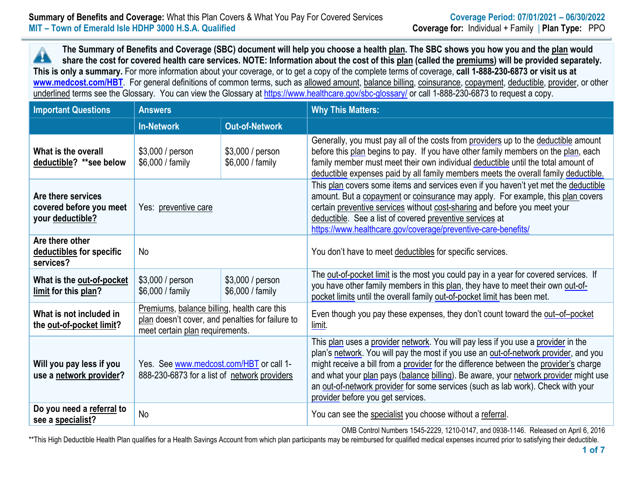**The Summary of Benefits and Coverage (SBC) document will help you choose a health plan. The SBC shows you how you and the plan would** ┻ **share the cost for covered health care services. NOTE: Information about the cost of this plan (called the premiums) will be provided separately. This is only a summary.** For more information about your coverage, or to get a copy of the complete terms of coverage, **call 1-888-230-6873 or visit us at [www.medcost.com/](http://www.medcost.com/)HBT**. For general definitions of common terms, such as allowed amount, balance billing, coinsurance, copayment, deductible, provider, or other underlined terms see the Glossary. You can view the Glossary at<https://www.healthcare.gov/sbc-glossary/> or call 1-888-230-6873 to request a copy.

| <b>Important Questions</b>                                        | <b>Answers</b>                                                                                                                     |  | <b>Why This Matters:</b>                                                                                                                                                                                                                                                                                                                                                                                                                                                            |  |  |
|-------------------------------------------------------------------|------------------------------------------------------------------------------------------------------------------------------------|--|-------------------------------------------------------------------------------------------------------------------------------------------------------------------------------------------------------------------------------------------------------------------------------------------------------------------------------------------------------------------------------------------------------------------------------------------------------------------------------------|--|--|
| <b>Out-of-Network</b><br><b>In-Network</b>                        |                                                                                                                                    |  |                                                                                                                                                                                                                                                                                                                                                                                                                                                                                     |  |  |
| What is the overall<br>deductible? **see below                    | \$3,000 / person<br>\$3,000 / person<br>\$6,000 / family<br>\$6,000 / family                                                       |  | Generally, you must pay all of the costs from providers up to the deductible amount<br>before this plan begins to pay. If you have other family members on the plan, each<br>family member must meet their own individual deductible until the total amount of<br>deductible expenses paid by all family members meets the overall family deductible.                                                                                                                               |  |  |
| Are there services<br>covered before you meet<br>your deductible? | Yes: preventive care                                                                                                               |  | This plan covers some items and services even if you haven't yet met the deductible<br>amount. But a copayment or coinsurance may apply. For example, this plan covers<br>certain preventive services without cost-sharing and before you meet your<br>deductible. See a list of covered preventive services at<br>https://www.healthcare.gov/coverage/preventive-care-benefits/                                                                                                    |  |  |
| Are there other<br>deductibles for specific<br>services?          | No                                                                                                                                 |  | You don't have to meet deductibles for specific services.                                                                                                                                                                                                                                                                                                                                                                                                                           |  |  |
| What is the out-of-pocket<br>limit for this plan?                 | \$3,000 / person<br>\$3,000 / person<br>\$6,000 / family<br>\$6,000 / family                                                       |  | The out-of-pocket limit is the most you could pay in a year for covered services. If<br>you have other family members in this plan, they have to meet their own out-of-<br>pocket limits until the overall family out-of-pocket limit has been met.                                                                                                                                                                                                                                 |  |  |
| What is not included in<br>the out-of-pocket limit?               | Premiums, balance billing, health care this<br>plan doesn't cover, and penalties for failure to<br>meet certain plan requirements. |  | Even though you pay these expenses, they don't count toward the out-of-pocket<br>limit.                                                                                                                                                                                                                                                                                                                                                                                             |  |  |
| Will you pay less if you<br>use a network provider?               | Yes. See www.medcost.com/HBT or call 1-<br>888-230-6873 for a list of network providers                                            |  | This plan uses a provider network. You will pay less if you use a provider in the<br>plan's network. You will pay the most if you use an out-of-network provider, and you<br>might receive a bill from a provider for the difference between the provider's charge<br>and what your plan pays (balance billing). Be aware, your network provider might use<br>an out-of-network provider for some services (such as lab work). Check with your<br>provider before you get services. |  |  |
| Do you need a referral to<br>see a specialist?                    | <b>No</b>                                                                                                                          |  | You can see the specialist you choose without a referral.                                                                                                                                                                                                                                                                                                                                                                                                                           |  |  |

OMB Control Numbers 1545-2229, 1210-0147, and 0938-1146. Released on April 6, 2016

\*\*This High Deductible Health Plan qualifies for a Health Savings Account from which plan participants may be reimbursed for qualified medical expenses incurred prior to satisfying their deductible.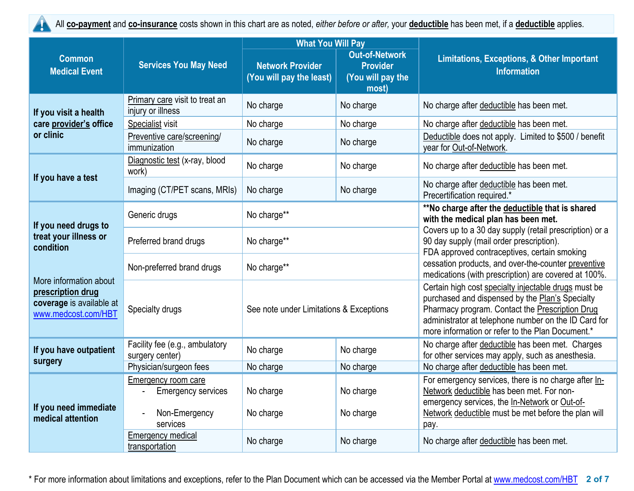

All **co-payment** and **co-insurance** costs shown in this chart are as noted, *either before or after,* your **deductible** has been met, if a **deductible** applies.

|                                                                                                |                                                                               | <b>What You Will Pay</b><br><b>Out-of-Network</b><br><b>Network Provider</b><br><b>Provider</b><br>(You will pay the least)<br>(You will pay the<br>most) |                        |                                                                                                                                                                                                                                                                        |
|------------------------------------------------------------------------------------------------|-------------------------------------------------------------------------------|-----------------------------------------------------------------------------------------------------------------------------------------------------------|------------------------|------------------------------------------------------------------------------------------------------------------------------------------------------------------------------------------------------------------------------------------------------------------------|
| <b>Common</b><br><b>Medical Event</b>                                                          | <b>Services You May Need</b>                                                  |                                                                                                                                                           |                        | <b>Limitations, Exceptions, &amp; Other Important</b><br><b>Information</b>                                                                                                                                                                                            |
| If you visit a health                                                                          | Primary care visit to treat an<br>injury or illness                           | No charge                                                                                                                                                 | No charge              | No charge after deductible has been met.                                                                                                                                                                                                                               |
| care provider's office                                                                         | Specialist visit                                                              | No charge                                                                                                                                                 | No charge              | No charge after deductible has been met.                                                                                                                                                                                                                               |
| or clinic                                                                                      | Preventive care/screening/<br>immunization                                    | No charge                                                                                                                                                 | No charge              | Deductible does not apply. Limited to \$500 / benefit<br>year for Out-of-Network.                                                                                                                                                                                      |
|                                                                                                | Diagnostic test (x-ray, blood<br>work)                                        | No charge                                                                                                                                                 | No charge              | No charge after deductible has been met.                                                                                                                                                                                                                               |
| If you have a test                                                                             | Imaging (CT/PET scans, MRIs)                                                  | No charge                                                                                                                                                 | No charge              | No charge after deductible has been met.<br>Precertification required.*                                                                                                                                                                                                |
| If you need drugs to                                                                           | Generic drugs                                                                 | No charge**                                                                                                                                               |                        | **No charge after the deductible that is shared<br>with the medical plan has been met.                                                                                                                                                                                 |
| treat your illness or<br>condition                                                             | Preferred brand drugs                                                         | No charge**                                                                                                                                               |                        | Covers up to a 30 day supply (retail prescription) or a<br>90 day supply (mail order prescription).<br>FDA approved contraceptives, certain smoking                                                                                                                    |
|                                                                                                | Non-preferred brand drugs                                                     | No charge**                                                                                                                                               |                        | cessation products, and over-the-counter preventive<br>medications (with prescription) are covered at 100%.                                                                                                                                                            |
| More information about<br>prescription drug<br>coverage is available at<br>www.medcost.com/HBT | Specialty drugs                                                               | See note under Limitations & Exceptions                                                                                                                   |                        | Certain high cost specialty injectable drugs must be<br>purchased and dispensed by the Plan's Specialty<br>Pharmacy program. Contact the Prescription Drug<br>administrator at telephone number on the ID Card for<br>more information or refer to the Plan Document.* |
| If you have outpatient<br>surgery                                                              | Facility fee (e.g., ambulatory<br>No charge<br>surgery center)                |                                                                                                                                                           | No charge              | No charge after deductible has been met. Charges<br>for other services may apply, such as anesthesia.                                                                                                                                                                  |
|                                                                                                | Physician/surgeon fees                                                        | No charge                                                                                                                                                 | No charge              | No charge after deductible has been met.                                                                                                                                                                                                                               |
| If you need immediate<br>medical attention                                                     | Emergency room care<br><b>Emergency services</b><br>Non-Emergency<br>services | No charge<br>No charge                                                                                                                                    | No charge<br>No charge | For emergency services, there is no charge after In-<br>Network deductible has been met. For non-<br>emergency services, the In-Network or Out-of-<br>Network deductible must be met before the plan will<br>pay.                                                      |
|                                                                                                | <b>Emergency medical</b><br>transportation                                    | No charge                                                                                                                                                 | No charge              | No charge after deductible has been met.                                                                                                                                                                                                                               |

\* For more information about limitations and exceptions, refer to the Plan Document which can be accessed via the Member Portal at [www.medcost.com/](http://www.medcost.com/)HBT **2 of 7**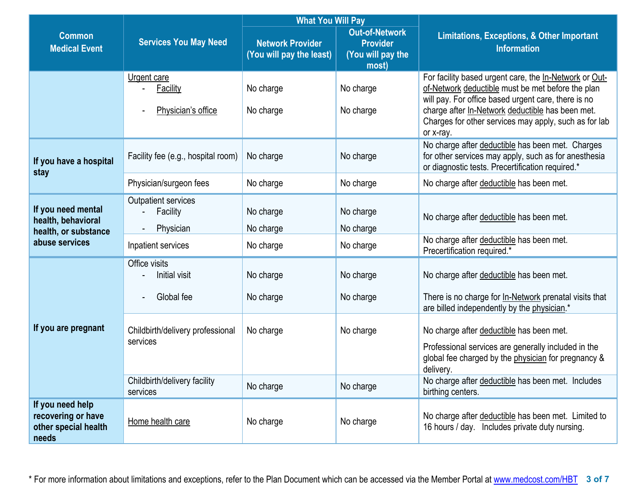|                                                                         |                                                      | <b>What You Will Pay</b>                            |                                                                        |                                                                                                                                                                                                                                                                                              |  |  |
|-------------------------------------------------------------------------|------------------------------------------------------|-----------------------------------------------------|------------------------------------------------------------------------|----------------------------------------------------------------------------------------------------------------------------------------------------------------------------------------------------------------------------------------------------------------------------------------------|--|--|
| <b>Common</b><br><b>Medical Event</b>                                   | <b>Services You May Need</b>                         | <b>Network Provider</b><br>(You will pay the least) | <b>Out-of-Network</b><br><b>Provider</b><br>(You will pay the<br>most) | <b>Limitations, Exceptions, &amp; Other Important</b><br><b>Information</b>                                                                                                                                                                                                                  |  |  |
|                                                                         | Urgent care<br><b>Facility</b><br>Physician's office | No charge<br>No charge                              | No charge<br>No charge                                                 | For facility based urgent care, the In-Network or Out-<br>of-Network deductible must be met before the plan<br>will pay. For office based urgent care, there is no<br>charge after In-Network deductible has been met.<br>Charges for other services may apply, such as for lab<br>or x-ray. |  |  |
| If you have a hospital<br>stay                                          | Facility fee (e.g., hospital room)                   | No charge                                           | No charge                                                              | No charge after deductible has been met. Charges<br>for other services may apply, such as for anesthesia<br>or diagnostic tests. Precertification required.*                                                                                                                                 |  |  |
|                                                                         | Physician/surgeon fees                               | No charge                                           | No charge                                                              | No charge after deductible has been met.                                                                                                                                                                                                                                                     |  |  |
| If you need mental<br>health, behavioral<br>health, or substance        | <b>Outpatient services</b><br>Facility<br>Physician  | No charge<br>No charge                              | No charge<br>No charge                                                 | No charge after deductible has been met.                                                                                                                                                                                                                                                     |  |  |
| abuse services                                                          | Inpatient services                                   | No charge                                           | No charge                                                              | No charge after deductible has been met.<br>Precertification required.*                                                                                                                                                                                                                      |  |  |
|                                                                         | Office visits<br>Initial visit                       | No charge                                           | No charge                                                              | No charge after deductible has been met.                                                                                                                                                                                                                                                     |  |  |
|                                                                         | Global fee                                           | No charge                                           | No charge                                                              | There is no charge for In-Network prenatal visits that<br>are billed independently by the physician.*                                                                                                                                                                                        |  |  |
| If you are pregnant                                                     | Childbirth/delivery professional<br>services         | No charge                                           | No charge                                                              | No charge after deductible has been met.<br>Professional services are generally included in the<br>global fee charged by the physician for pregnancy &<br>delivery.                                                                                                                          |  |  |
|                                                                         | Childbirth/delivery facility<br>services             | No charge                                           | No charge                                                              | No charge after deductible has been met. Includes<br>birthing centers.                                                                                                                                                                                                                       |  |  |
| If you need help<br>recovering or have<br>other special health<br>needs | Home health care                                     | No charge                                           | No charge                                                              | No charge after deductible has been met. Limited to<br>16 hours / day. Includes private duty nursing.                                                                                                                                                                                        |  |  |

\* For more information about limitations and exceptions, refer to the Plan Document which can be accessed via the Member Portal at [www.medcost.com/](http://www.medcost.com/)HBT **3 of 7**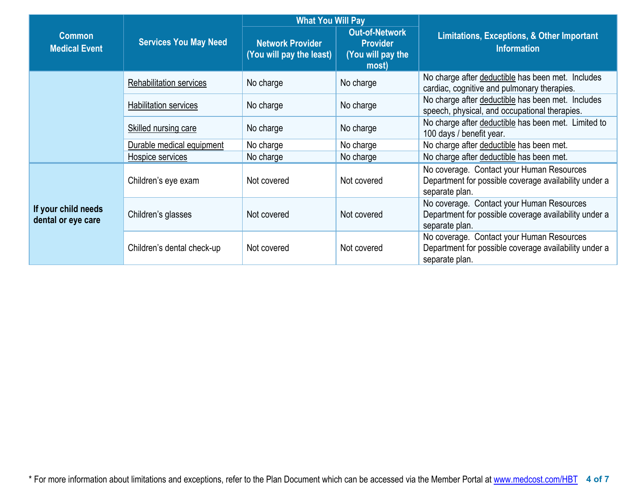|                                           |                              | <b>What You Will Pay</b>                            |                                                                        |                                                                                                                      |  |
|-------------------------------------------|------------------------------|-----------------------------------------------------|------------------------------------------------------------------------|----------------------------------------------------------------------------------------------------------------------|--|
| <b>Common</b><br><b>Medical Event</b>     | <b>Services You May Need</b> | <b>Network Provider</b><br>(You will pay the least) | <b>Out-of-Network</b><br><b>Provider</b><br>(You will pay the<br>most) | <b>Limitations, Exceptions, &amp; Other Important</b><br><b>Information</b>                                          |  |
|                                           | Rehabilitation services      | No charge                                           | No charge                                                              | No charge after deductible has been met. Includes<br>cardiac, cognitive and pulmonary therapies.                     |  |
|                                           | Habilitation services        | No charge                                           | No charge                                                              | No charge after deductible has been met. Includes<br>speech, physical, and occupational therapies.                   |  |
|                                           | Skilled nursing care         | No charge                                           | No charge                                                              | No charge after deductible has been met. Limited to<br>100 days / benefit year.                                      |  |
|                                           | Durable medical equipment    | No charge                                           | No charge                                                              | No charge after deductible has been met.                                                                             |  |
|                                           | Hospice services             | No charge                                           | No charge                                                              | No charge after deductible has been met.                                                                             |  |
|                                           | Children's eye exam          | Not covered                                         | Not covered                                                            | No coverage. Contact your Human Resources<br>Department for possible coverage availability under a<br>separate plan. |  |
| If your child needs<br>dental or eye care | Children's glasses           | Not covered                                         | Not covered                                                            | No coverage. Contact your Human Resources<br>Department for possible coverage availability under a<br>separate plan. |  |
|                                           | Children's dental check-up   | Not covered                                         | Not covered                                                            | No coverage. Contact your Human Resources<br>Department for possible coverage availability under a<br>separate plan. |  |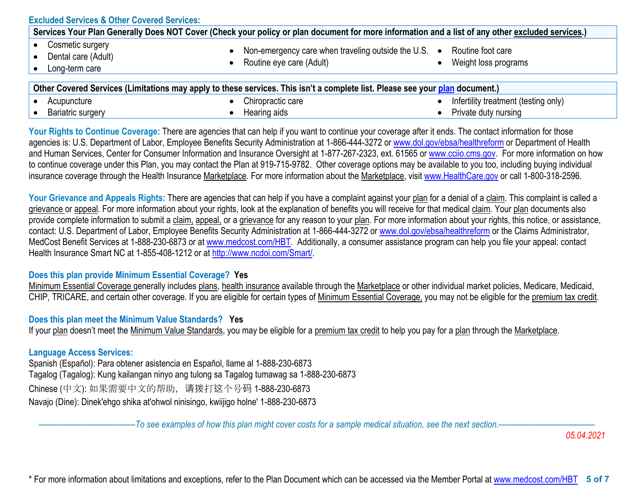| <b>Excluded Services &amp; Other Covered Services:</b><br>Services Your Plan Generally Does NOT Cover (Check your policy or plan document for more information and a list of any other excluded services.) |  |  |  |  |  |
|------------------------------------------------------------------------------------------------------------------------------------------------------------------------------------------------------------|--|--|--|--|--|
| Cosmetic surgery<br>Non-emergency care when traveling outside the U.S. $\bullet$<br>Routine foot care<br>Dental care (Adult)<br>Routine eye care (Adult)<br>Weight loss programs<br>Long-term care         |  |  |  |  |  |
| Other Covered Services (Limitations may apply to these services. This isn't a complete list. Please see your plan document.)                                                                               |  |  |  |  |  |

| <u>incture</u><br>$\mathbf{r}$<br>our | care<br>actic<br>mıro,<br>JULZ. | .<br>, only'<br>ltestii<br>treatment<br>በሮ<br>*tility<br>nte<br>. . 60.<br>. . |
|---------------------------------------|---------------------------------|--------------------------------------------------------------------------------|
| 11000n<br>uu                          | nna .<br>aids<br>. ivui         | / nursina<br>ourv<br>атс                                                       |

Your Rights to Continue Coverage: There are agencies that can help if you want to continue your coverage after it ends. The contact information for those agencies is: U.S. Department of Labor, Employee Benefits Security Administration at 1-866-444-3272 or [www.dol.gov/ebsa/healthreform](http://www.dol.gov/ebsa/healthreform) or Department of Health and Human Services, Center for Consumer Information and Insurance Oversight at 1-877-267-2323, ext. 61565 or [www.cciio.cms.gov.](http://www.cciio.cms.gov/) For more information on how to continue coverage under this Plan, you may contact the Plan at 919-715-9782. Other coverage options may be available to you too, including buying individual insurance coverage through the Health Insurance Marketplace. For more information about the Marketplace, visit [www.HealthCare.gov](http://www.healthcare.gov/) or call 1-800-318-2596.

Your Grievance and Appeals Rights: There are agencies that can help if you have a complaint against your plan for a denial of a claim. This complaint is called a grievance or appeal. For more information about your rights, look at the explanation of benefits you will receive for that medical claim. Your plan documents also provide complete information to submit a claim, appeal, or a grievance for any reason to your plan. For more information about your rights, this notice, or assistance, contact: U.S. Department of Labor, Employee Benefits Security Administration at 1-866-444-3272 or [www.dol.gov/ebsa/healthreform](http://www.dol.gov/ebsa/healthreform) or the Claims Administrator, MedCost Benefit Services at 1-888-230-6873 or at [www.medcost.com/](http://www.medcost.com/)HBT. Additionally, a consumer assistance program can help you file your appeal: contact Health Insurance Smart NC at 1-855-408-1212 or at [http://www.ncdoi.com/Smart/.](http://www.ncdoi.com/Smart/)

# **Does this plan provide Minimum Essential Coverage? Yes**

[Minimum Essential Coverage](https://nam10.safelinks.protection.outlook.com/?url=https%3A%2F%2Fwww.healthcare.gov%2Fsbc-glossary%2F%23minimum-essential-coverage&data=04%7C01%7CTGreene%40MEDCOST.com%7Cc778d4bb010648140d4408d90a7a73af%7C5c375e18ec944019b068a41aec1280f4%7C0%7C0%7C637552343313438452%7CUnknown%7CTWFpbGZsb3d8eyJWIjoiMC4wLjAwMDAiLCJQIjoiV2luMzIiLCJBTiI6Ik1haWwiLCJXVCI6Mn0%3D%7C1000&sdata=L9gkn0pqwDYzVEHPeu%2BAODx1ZB5c9GKIgDJSwgdXjzc%3D&reserved=0) generally includes [plans,](https://nam10.safelinks.protection.outlook.com/?url=https%3A%2F%2Fwww.healthcare.gov%2Fsbc-glossary%2F%23plan&data=04%7C01%7CTGreene%40MEDCOST.com%7Cc778d4bb010648140d4408d90a7a73af%7C5c375e18ec944019b068a41aec1280f4%7C0%7C0%7C637552343313438452%7CUnknown%7CTWFpbGZsb3d8eyJWIjoiMC4wLjAwMDAiLCJQIjoiV2luMzIiLCJBTiI6Ik1haWwiLCJXVCI6Mn0%3D%7C1000&sdata=%2BZtMsijXw3bGvHeKlptGRi08xNtTj0vWD37e3YPsPgU%3D&reserved=0) [health insurance](https://nam10.safelinks.protection.outlook.com/?url=https%3A%2F%2Fwww.healthcare.gov%2Fsbc-glossary%2F%23health-insurance&data=04%7C01%7CTGreene%40MEDCOST.com%7Cc778d4bb010648140d4408d90a7a73af%7C5c375e18ec944019b068a41aec1280f4%7C0%7C0%7C637552343313448445%7CUnknown%7CTWFpbGZsb3d8eyJWIjoiMC4wLjAwMDAiLCJQIjoiV2luMzIiLCJBTiI6Ik1haWwiLCJXVCI6Mn0%3D%7C1000&sdata=ZbLL%2FjkVPAmbkH6GemWP2xcPmuNTwThkGLu2XfYOouU%3D&reserved=0) available through the [Marketplace](https://nam10.safelinks.protection.outlook.com/?url=https%3A%2F%2Fwww.healthcare.gov%2Fsbc-glossary%2F%23marketplace&data=04%7C01%7CTGreene%40MEDCOST.com%7Cc778d4bb010648140d4408d90a7a73af%7C5c375e18ec944019b068a41aec1280f4%7C0%7C0%7C637552343313458438%7CUnknown%7CTWFpbGZsb3d8eyJWIjoiMC4wLjAwMDAiLCJQIjoiV2luMzIiLCJBTiI6Ik1haWwiLCJXVCI6Mn0%3D%7C1000&sdata=M2vNCAuYS6Q179giQdgtfYQxw3ebYExJ%2B976Ss8iGcQ%3D&reserved=0) or other individual market policies, Medicare, Medicaid, CHIP, TRICARE, and certain other coverage. If you are eligible for certain types of [Minimum Essential Coverage,](https://nam10.safelinks.protection.outlook.com/?url=https%3A%2F%2Fwww.healthcare.gov%2Fsbc-glossary%2F%23minimum-essential-coverage&data=04%7C01%7CTGreene%40MEDCOST.com%7Cc778d4bb010648140d4408d90a7a73af%7C5c375e18ec944019b068a41aec1280f4%7C0%7C0%7C637552343313458438%7CUnknown%7CTWFpbGZsb3d8eyJWIjoiMC4wLjAwMDAiLCJQIjoiV2luMzIiLCJBTiI6Ik1haWwiLCJXVCI6Mn0%3D%7C1000&sdata=EWWTWDoCB5SCvZ%2F7QcFE8KOzPXNurfYRk3YU3o1guAU%3D&reserved=0) you may not be eligible for the [premium tax credit.](https://nam10.safelinks.protection.outlook.com/?url=https%3A%2F%2Fwww.healthcare.gov%2Fsbc-glossary%2F%23premium-tax-credits&data=04%7C01%7CTGreene%40MEDCOST.com%7Cc778d4bb010648140d4408d90a7a73af%7C5c375e18ec944019b068a41aec1280f4%7C0%7C0%7C637552343313468429%7CUnknown%7CTWFpbGZsb3d8eyJWIjoiMC4wLjAwMDAiLCJQIjoiV2luMzIiLCJBTiI6Ik1haWwiLCJXVCI6Mn0%3D%7C1000&sdata=ILGWtzz7rb%2BSFlZzBoYZhl97YoVSdDj%2BESqc6omzqxs%3D&reserved=0)

## **Does this plan meet the Minimum Value Standards? Yes**

If your plan doesn't meet the Minimum Value Standards, you may be eligible for a premium tax credit to help you pay for a plan through the Marketplace.

## **Language Access Services:**

Spanish (Español): Para obtener asistencia en Español, llame al 1-888-230-6873 Tagalog (Tagalog): Kung kailangan ninyo ang tulong sa Tagalog tumawag sa 1-888-230-6873 Chinese (中文): 如果需要中文的帮助,请拨打这个号码 1-888-230-6873 Navajo (Dine): Dinek'ehgo shika at'ohwol ninisingo, kwiijigo holne' 1-888-230-6873

––––––––––––––––––––––*To see examples of how this plan might cover costs for a sample medical situation, see the next section.–––––––––––*–––––––––––

*05.04.2021*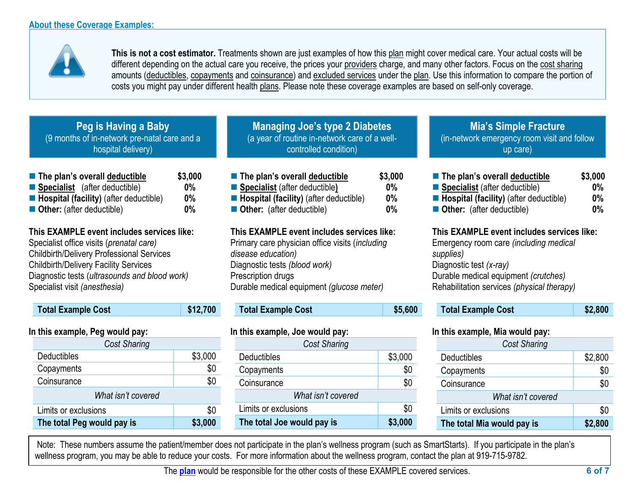

**This is not a cost estimator.** Treatments shown are just examples of how this [plan](https://www.healthcare.gov/sbc-glossary/#plan) might cover medical care. Your actual costs will be different depending on the actual care you receive, the prices your [providers](https://www.healthcare.gov/sbc-glossary/#provider) charge, and many other factors. Focus on the [cost sharing](https://www.healthcare.gov/sbc-glossary/#cost-sharing) amounts [\(deductibles,](https://www.healthcare.gov/sbc-glossary/#deductible) [copayments](https://www.healthcare.gov/sbc-glossary/#copayment) and [coinsurance\)](https://www.healthcare.gov/sbc-glossary/#coinsurance) and [excluded services](https://www.healthcare.gov/sbc-glossary/#excluded-services) under the [plan.](https://www.healthcare.gov/sbc-glossary/#plan) Use this information to compare the portion of costs you might pay under different health [plans.](https://www.healthcare.gov/sbc-glossary/#plan) Please note these coverage examples are based on self-only coverage.

| Peg is Having a Baby                         |  |
|----------------------------------------------|--|
| (9 months of in-network pre-natal care and a |  |
| hospital delivery)                           |  |

| ■ The plan's overall deductible                       | \$3,000 |
|-------------------------------------------------------|---------|
| ■ Specialist (after deductible)                       | $0\%$   |
| $\blacksquare$ Hospital (facility) (after deductible) | $0\%$   |
| Other: (after deductible)                             | $0\%$   |

**This EXAMPLE event includes services like:**  Specialist office visits (*prenatal care)* Childbirth/Delivery Professional Services Childbirth/Delivery Facility Services Diagnostic tests (*ultrasounds and blood work)* Specialist visit *(anesthesia)* 

| <b>Total Example Cost</b> | \$12,700 |
|---------------------------|----------|
|---------------------------|----------|

# **In this example, Peg would pay:**

| <b>Cost Sharing</b>        |         |
|----------------------------|---------|
| <b>Deductibles</b>         | \$3,000 |
| Copayments                 | \$0     |
| Coinsurance                | \$0     |
| What isn't covered         |         |
| Limits or exclusions       | \$0     |
| The total Peg would pay is | \$3,000 |

**Managing Joe's type 2 Diabetes** (a year of routine in-network care of a wellcontrolled condition)

| ■ The plan's overall deductible                                                                                                                                            | \$3,000 |
|----------------------------------------------------------------------------------------------------------------------------------------------------------------------------|---------|
| Specialist (after deductible)                                                                                                                                              | 0%      |
| <b>E</b> Hospital (facility) (after deductible)                                                                                                                            | $0\%$   |
| Other: (after deductible)                                                                                                                                                  | 0%      |
| This EXAMPLE event includes services like:<br>Primary care physician office visits (including<br>disease education)<br>Diagnostic tests (blood work)<br>Prescription drugs |         |

Durable medical equipment *(glucose meter)* 

Total Example Cost **\$5,600** 

# **In this example, Joe would pay:**

| <b>Cost Sharing</b>        |         |  |  |  |
|----------------------------|---------|--|--|--|
| Deductibles                | \$3,000 |  |  |  |
| Copayments                 | \$0     |  |  |  |
| Coinsurance                | \$0     |  |  |  |
| What isn't covered         |         |  |  |  |
| Limits or exclusions       | \$0     |  |  |  |
| The total Joe would pay is | \$3,000 |  |  |  |

**Mia's Simple Fracture** (in-network emergency room visit and follow up care)

| ■ The plan's overall deductible            | \$3,000 |
|--------------------------------------------|---------|
| ■ Specialist (after deductible)            | $0\%$   |
| Hospital (facility) (after deductible)     | $0\%$   |
| Other: (after deductible)                  | $0\%$   |
| This EXAMPLE event includes services like: |         |
| Emergency room care (including medical     |         |

*supplies)* Diagnostic test *(x-ray)* Durable medical equipment *(crutches)* Rehabilitation services *(physical therapy)*

| \$2,800<br><b>Total Example Cost</b> |
|--------------------------------------|
|--------------------------------------|

# **In this example, Mia would pay:**

| <b>Cost Sharing</b>        |         |
|----------------------------|---------|
| Deductibles                | \$2,800 |
| Copayments                 |         |
| Coinsurance                | \$0     |
| What isn't covered         |         |
| Limits or exclusions       | \$0     |
| The total Mia would pay is | \$2,800 |

Note: These numbers assume the patient/member does not participate in the plan's wellness program (such as SmartStarts). If you participate in the plan's wellness program, you may be able to reduce your costs. For more information about the wellness program, contact the plan at 919-715-9782.

The **[plan](https://www.healthcare.gov/sbc-glossary/#plan)** would be responsible for the other costs of these EXAMPLE covered services. **6 of 7**